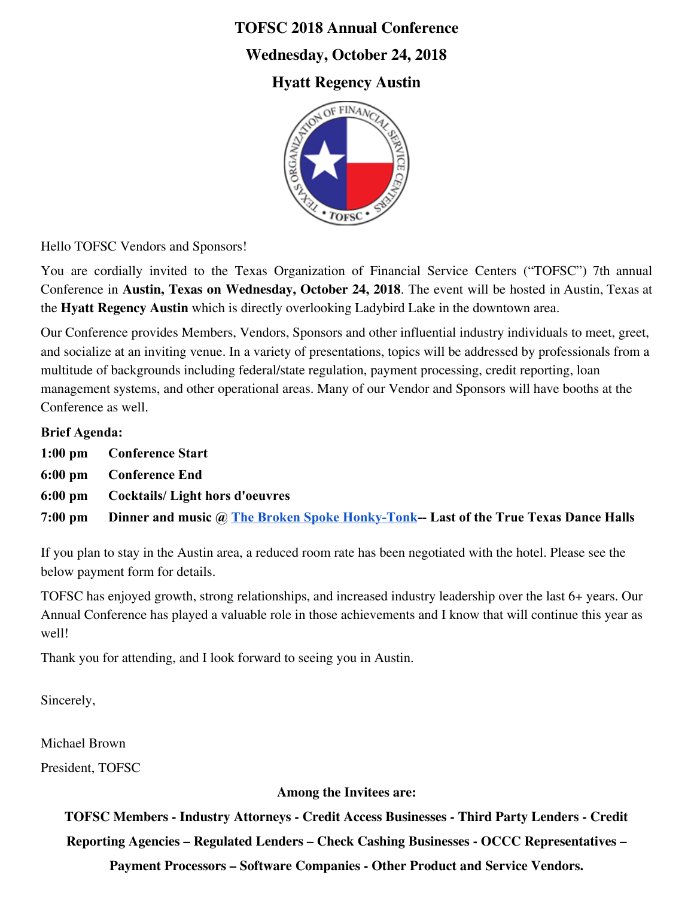# **TOFSC 2018 Annual Conference Wednesday, October 24, 2018**

## **Hyatt Regency Austin**



Hello TOFSC Vendors and Sponsors!

You are cordially invited to the Texas Organization of Financial Service Centers ("TOFSC") 7th annual Conference in **Austin, Texas on Wednesday, October 24, 2018**. The event will be hosted in Austin, Texas at the **Hyatt Regency Austin** which is directly overlooking Ladybird Lake in the downtown area.

Our Conference provides Members, Vendors, Sponsors and other influential industry individuals to meet, greet, and socialize at an inviting venue. In a variety of presentations, topics will be addressed by professionals from a multitude of backgrounds including federal/state regulation, payment processing, credit reporting, loan management systems, and other operational areas. Many of our Vendor and Sponsors will have booths at the Conference as well.

### **Brief Agenda:**

- **1:00 pm Conference Start**
- **6:00 pm Conference End**
- **6:00 pm Cocktails/ Light hors d'oeuvres**

**7:00 pm Dinner and music @ [The Broken Spoke Honky-Tonk](https://www.brokenspokeaustintx.net/)-- Last of the True Texas Dance Halls**

If you plan to stay in the Austin area, a reduced room rate has been negotiated with the hotel. Please see the below payment form for details.

TOFSC has enjoyed growth, strong relationships, and increased industry leadership over the last 6+ years. Our Annual Conference has played a valuable role in those achievements and I know that will continue this year as well!

Thank you for attending, and I look forward to seeing you in Austin.

Sincerely,

Michael Brown

President, TOFSC

**Among the Invitees are:**

**TOFSC Members - Industry Attorneys - Credit Access Businesses - Third Party Lenders - Credit**

**Reporting Agencies – Regulated Lenders – Check Cashing Businesses - OCCC Representatives –**

**Payment Processors – Software Companies - Other Product and Service Vendors.**